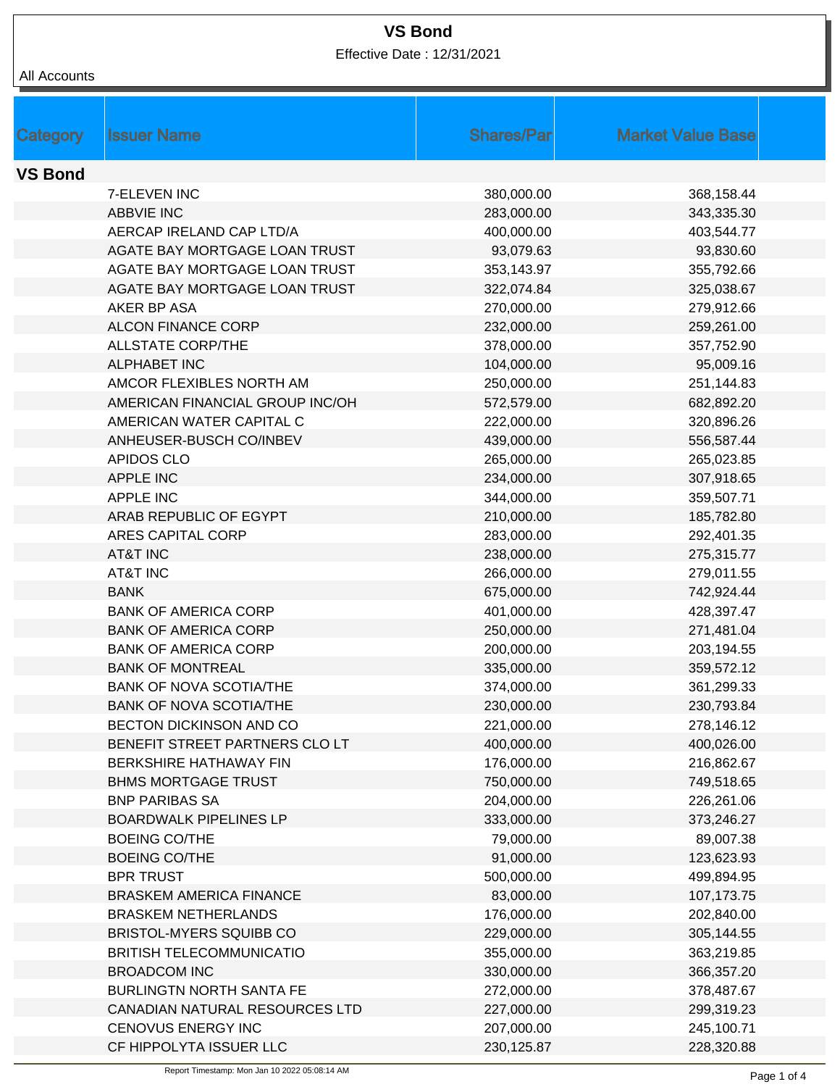Effective Date : 12/31/2021

| Category       | <b>Issuer Name</b>              | <b>Shares/Parl</b>      | <b>Market Value Base</b> |  |
|----------------|---------------------------------|-------------------------|--------------------------|--|
|                |                                 |                         |                          |  |
| <b>VS Bond</b> |                                 |                         |                          |  |
|                | 7-ELEVEN INC                    | 380,000.00              | 368,158.44               |  |
|                | <b>ABBVIE INC</b>               | 283,000.00              | 343,335.30               |  |
|                | AERCAP IRELAND CAP LTD/A        | 400,000.00              | 403,544.77               |  |
|                | AGATE BAY MORTGAGE LOAN TRUST   | 93,079.63               | 93,830.60                |  |
|                | AGATE BAY MORTGAGE LOAN TRUST   | 353,143.97              | 355,792.66               |  |
|                | AGATE BAY MORTGAGE LOAN TRUST   | 322,074.84              | 325,038.67               |  |
|                | AKER BP ASA                     | 270,000.00              | 279,912.66               |  |
|                | <b>ALCON FINANCE CORP</b>       | 232,000.00              | 259,261.00               |  |
|                | <b>ALLSTATE CORP/THE</b>        | 378,000.00              | 357,752.90               |  |
|                | <b>ALPHABET INC</b>             | 104,000.00              | 95,009.16                |  |
|                | AMCOR FLEXIBLES NORTH AM        | 250,000.00              | 251,144.83               |  |
|                | AMERICAN FINANCIAL GROUP INC/OH | 572,579.00              | 682,892.20               |  |
|                | AMERICAN WATER CAPITAL C        | 222,000.00              | 320,896.26               |  |
|                | ANHEUSER-BUSCH CO/INBEV         | 439,000.00              | 556,587.44               |  |
|                | <b>APIDOS CLO</b>               | 265,000.00              | 265,023.85               |  |
|                | <b>APPLE INC</b>                | 234,000.00              | 307,918.65               |  |
|                | <b>APPLE INC</b>                | 344,000.00              | 359,507.71               |  |
|                | ARAB REPUBLIC OF EGYPT          | 210,000.00              | 185,782.80               |  |
|                | ARES CAPITAL CORP               | 283,000.00              | 292,401.35               |  |
|                | <b>AT&amp;T INC</b>             | 238,000.00              | 275,315.77               |  |
|                | <b>AT&amp;T INC</b>             | 266,000.00              | 279,011.55               |  |
|                | <b>BANK</b>                     | 675,000.00              | 742,924.44               |  |
|                | <b>BANK OF AMERICA CORP</b>     | 401,000.00              | 428,397.47               |  |
|                | <b>BANK OF AMERICA CORP</b>     | 250,000.00              | 271,481.04               |  |
|                | <b>BANK OF AMERICA CORP</b>     | 200,000.00              | 203,194.55               |  |
|                | <b>BANK OF MONTREAL</b>         | 335,000.00              | 359,572.12               |  |
|                | <b>BANK OF NOVA SCOTIA/THE</b>  | 374,000.00              | 361,299.33               |  |
|                | BANK OF NOVA SCOTIA/THE         | 230,000.00              | 230,793.84               |  |
|                | BECTON DICKINSON AND CO         | 221,000.00              | 278,146.12               |  |
|                | BENEFIT STREET PARTNERS CLO LT  | 400,000.00              | 400,026.00               |  |
|                | BERKSHIRE HATHAWAY FIN          | 176,000.00              | 216,862.67               |  |
|                | <b>BHMS MORTGAGE TRUST</b>      | 750,000.00              | 749,518.65               |  |
|                | <b>BNP PARIBAS SA</b>           | 204,000.00              | 226,261.06               |  |
|                | <b>BOARDWALK PIPELINES LP</b>   | 333,000.00              | 373,246.27               |  |
|                | <b>BOEING CO/THE</b>            | 79,000.00               | 89,007.38                |  |
|                | <b>BOEING CO/THE</b>            | 91,000.00               |                          |  |
|                | <b>BPR TRUST</b>                |                         | 123,623.93               |  |
|                | <b>BRASKEM AMERICA FINANCE</b>  | 500,000.00              | 499,894.95               |  |
|                | <b>BRASKEM NETHERLANDS</b>      | 83,000.00<br>176,000.00 | 107,173.75               |  |
|                |                                 |                         | 202,840.00               |  |
|                | BRISTOL-MYERS SQUIBB CO         | 229,000.00              | 305,144.55               |  |
|                | <b>BRITISH TELECOMMUNICATIO</b> | 355,000.00              | 363,219.85               |  |
|                | <b>BROADCOM INC</b>             | 330,000.00              | 366,357.20               |  |
|                | BURLINGTN NORTH SANTA FE        | 272,000.00              | 378,487.67               |  |
|                | CANADIAN NATURAL RESOURCES LTD  | 227,000.00              | 299,319.23               |  |
|                | CENOVUS ENERGY INC              | 207,000.00              | 245,100.71               |  |
|                | CF HIPPOLYTA ISSUER LLC         | 230,125.87              | 228,320.88               |  |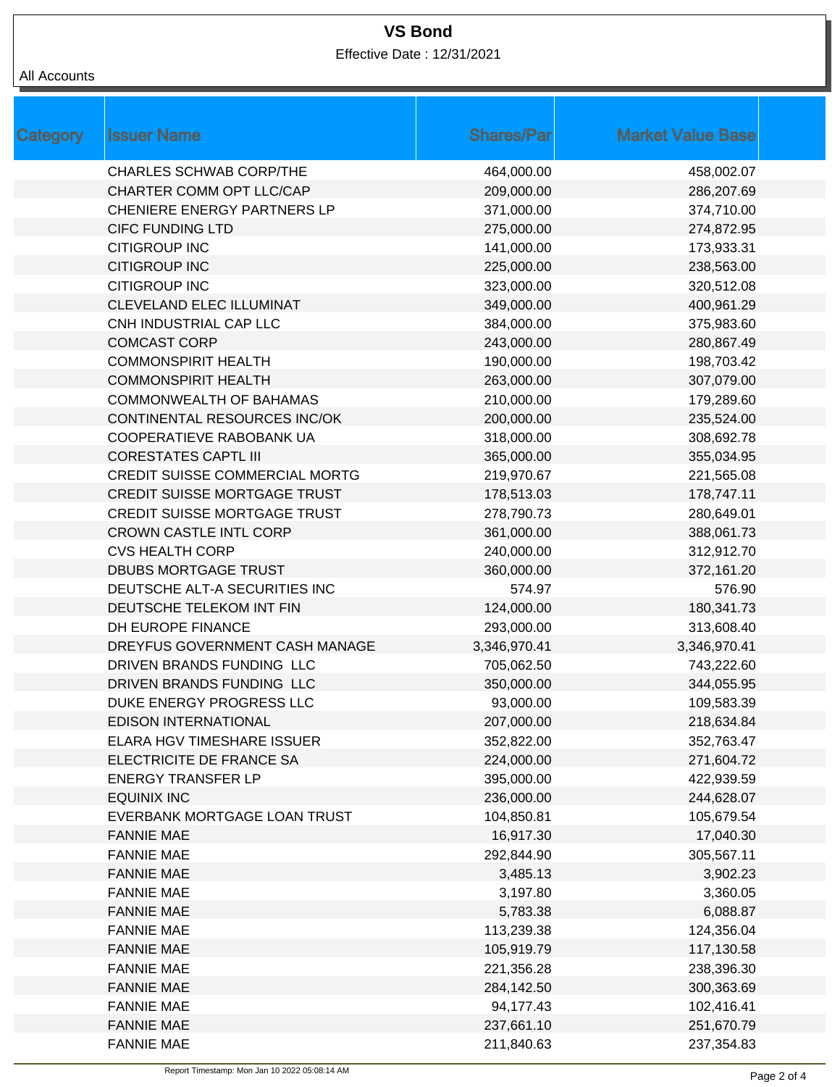Effective Date : 12/31/2021

| <b>Category</b> | <b>Issuer Name</b>                    | <b>Shares/Par</b> | <b>Market Value Base</b> |
|-----------------|---------------------------------------|-------------------|--------------------------|
|                 | <b>CHARLES SCHWAB CORP/THE</b>        | 464,000.00        | 458,002.07               |
|                 | CHARTER COMM OPT LLC/CAP              | 209,000.00        | 286,207.69               |
|                 | <b>CHENIERE ENERGY PARTNERS LP</b>    | 371,000.00        | 374,710.00               |
|                 | <b>CIFC FUNDING LTD</b>               | 275,000.00        | 274,872.95               |
|                 | <b>CITIGROUP INC</b>                  | 141,000.00        | 173,933.31               |
|                 | <b>CITIGROUP INC</b>                  | 225,000.00        | 238,563.00               |
|                 | <b>CITIGROUP INC</b>                  | 323,000.00        | 320,512.08               |
|                 | CLEVELAND ELEC ILLUMINAT              | 349,000.00        | 400,961.29               |
|                 | CNH INDUSTRIAL CAP LLC                | 384,000.00        | 375,983.60               |
|                 | <b>COMCAST CORP</b>                   | 243,000.00        | 280,867.49               |
|                 | <b>COMMONSPIRIT HEALTH</b>            | 190,000.00        | 198,703.42               |
|                 | <b>COMMONSPIRIT HEALTH</b>            | 263,000.00        | 307,079.00               |
|                 | <b>COMMONWEALTH OF BAHAMAS</b>        | 210,000.00        | 179,289.60               |
|                 | CONTINENTAL RESOURCES INC/OK          | 200,000.00        | 235,524.00               |
|                 | COOPERATIEVE RABOBANK UA              | 318,000.00        | 308,692.78               |
|                 | <b>CORESTATES CAPTL III</b>           | 365,000.00        | 355,034.95               |
|                 | <b>CREDIT SUISSE COMMERCIAL MORTG</b> | 219,970.67        | 221,565.08               |
|                 | <b>CREDIT SUISSE MORTGAGE TRUST</b>   | 178,513.03        | 178,747.11               |
|                 | <b>CREDIT SUISSE MORTGAGE TRUST</b>   | 278,790.73        | 280,649.01               |
|                 | <b>CROWN CASTLE INTL CORP</b>         | 361,000.00        | 388,061.73               |
|                 | <b>CVS HEALTH CORP</b>                | 240,000.00        | 312,912.70               |
|                 | <b>DBUBS MORTGAGE TRUST</b>           | 360,000.00        | 372,161.20               |
|                 | DEUTSCHE ALT-A SECURITIES INC         | 574.97            | 576.90                   |
|                 | DEUTSCHE TELEKOM INT FIN              | 124,000.00        | 180,341.73               |
|                 | DH EUROPE FINANCE                     | 293,000.00        | 313,608.40               |
|                 | DREYFUS GOVERNMENT CASH MANAGE        | 3,346,970.41      | 3,346,970.41             |
|                 | DRIVEN BRANDS FUNDING LLC             | 705,062.50        | 743,222.60               |
|                 | DRIVEN BRANDS FUNDING LLC             | 350,000.00        | 344,055.95               |
|                 | DUKE ENERGY PROGRESS LLC              | 93,000.00         | 109,583.39               |
|                 | <b>EDISON INTERNATIONAL</b>           | 207,000.00        | 218,634.84               |
|                 | ELARA HGV TIMESHARE ISSUER            | 352,822.00        | 352,763.47               |
|                 | ELECTRICITE DE FRANCE SA              | 224,000.00        | 271,604.72               |
|                 | <b>ENERGY TRANSFER LP</b>             | 395,000.00        | 422,939.59               |
|                 | <b>EQUINIX INC</b>                    | 236,000.00        | 244,628.07               |
|                 | EVERBANK MORTGAGE LOAN TRUST          | 104,850.81        | 105,679.54               |
|                 | <b>FANNIE MAE</b>                     | 16,917.30         | 17,040.30                |
|                 | <b>FANNIE MAE</b>                     | 292,844.90        | 305,567.11               |
|                 | <b>FANNIE MAE</b>                     | 3,485.13          | 3,902.23                 |
|                 | <b>FANNIE MAE</b>                     | 3,197.80          | 3,360.05                 |
|                 | <b>FANNIE MAE</b>                     | 5,783.38          | 6,088.87                 |
|                 | <b>FANNIE MAE</b>                     | 113,239.38        | 124,356.04               |
|                 | <b>FANNIE MAE</b>                     | 105,919.79        | 117,130.58               |
|                 | <b>FANNIE MAE</b>                     | 221,356.28        | 238,396.30               |
|                 | <b>FANNIE MAE</b>                     | 284,142.50        | 300,363.69               |
|                 | <b>FANNIE MAE</b>                     | 94,177.43         | 102,416.41               |
|                 | <b>FANNIE MAE</b>                     | 237,661.10        | 251,670.79               |
|                 | <b>FANNIE MAE</b>                     | 211,840.63        | 237,354.83               |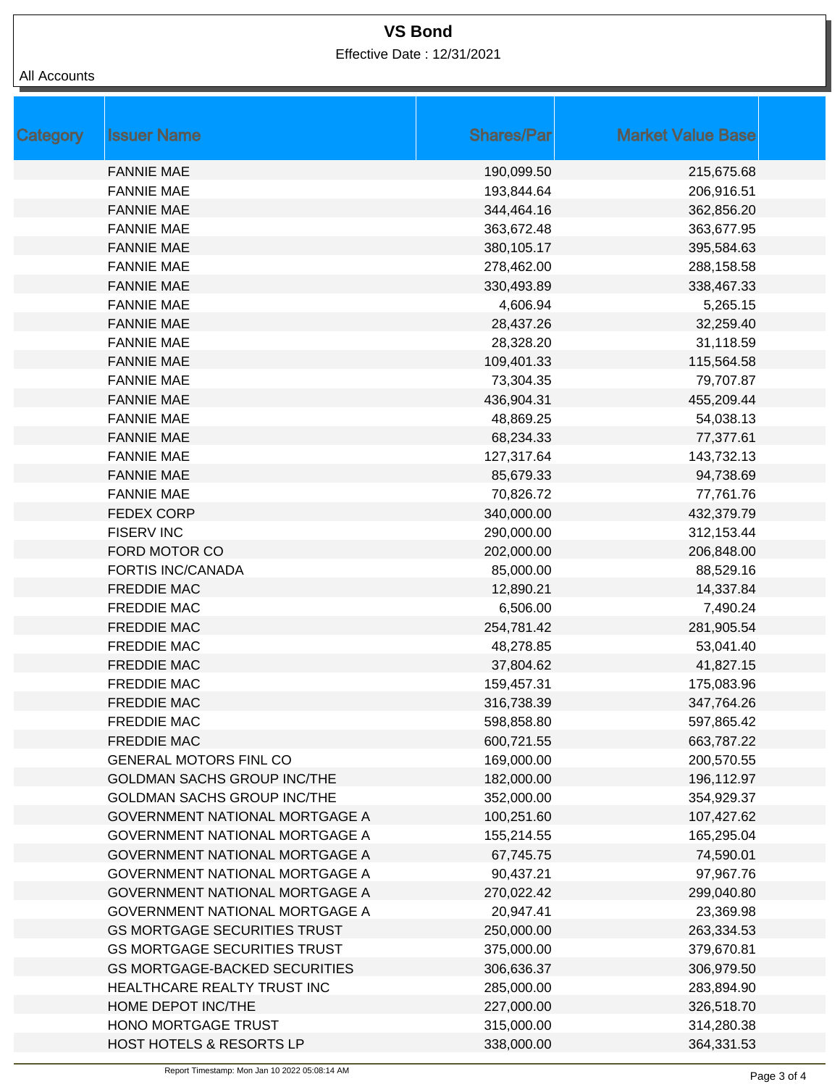Effective Date : 12/31/2021

| <b>Category</b> | <b>Issuer Name</b>                    | <b>Shares/Par</b> | <b>Market Value Base</b> |
|-----------------|---------------------------------------|-------------------|--------------------------|
|                 | <b>FANNIE MAE</b>                     | 190,099.50        | 215,675.68               |
|                 | <b>FANNIE MAE</b>                     | 193,844.64        | 206,916.51               |
|                 | <b>FANNIE MAE</b>                     | 344,464.16        | 362,856.20               |
|                 | <b>FANNIE MAE</b>                     | 363,672.48        | 363,677.95               |
|                 | <b>FANNIE MAE</b>                     | 380,105.17        | 395,584.63               |
|                 | <b>FANNIE MAE</b>                     | 278,462.00        | 288,158.58               |
|                 | <b>FANNIE MAE</b>                     | 330,493.89        | 338,467.33               |
|                 | <b>FANNIE MAE</b>                     | 4,606.94          | 5,265.15                 |
|                 | <b>FANNIE MAE</b>                     | 28,437.26         | 32,259.40                |
|                 | <b>FANNIE MAE</b>                     | 28,328.20         | 31,118.59                |
|                 | <b>FANNIE MAE</b>                     | 109,401.33        | 115,564.58               |
|                 | <b>FANNIE MAE</b>                     | 73,304.35         | 79,707.87                |
|                 | <b>FANNIE MAE</b>                     | 436,904.31        | 455,209.44               |
|                 | <b>FANNIE MAE</b>                     | 48,869.25         | 54,038.13                |
|                 | <b>FANNIE MAE</b>                     | 68,234.33         | 77,377.61                |
|                 | <b>FANNIE MAE</b>                     | 127,317.64        | 143,732.13               |
|                 | <b>FANNIE MAE</b>                     | 85,679.33         | 94,738.69                |
|                 | <b>FANNIE MAE</b>                     | 70,826.72         | 77,761.76                |
|                 | <b>FEDEX CORP</b>                     | 340,000.00        | 432,379.79               |
|                 | <b>FISERV INC</b>                     | 290,000.00        | 312,153.44               |
|                 | FORD MOTOR CO                         | 202,000.00        | 206,848.00               |
|                 | <b>FORTIS INC/CANADA</b>              | 85,000.00         | 88,529.16                |
|                 | <b>FREDDIE MAC</b>                    | 12,890.21         | 14,337.84                |
|                 | <b>FREDDIE MAC</b>                    | 6,506.00          | 7,490.24                 |
|                 | <b>FREDDIE MAC</b>                    | 254,781.42        | 281,905.54               |
|                 | <b>FREDDIE MAC</b>                    | 48,278.85         | 53,041.40                |
|                 | <b>FREDDIE MAC</b>                    | 37,804.62         | 41,827.15                |
|                 | <b>FREDDIE MAC</b>                    | 159,457.31        | 175,083.96               |
|                 | <b>FREDDIE MAC</b>                    | 316,738.39        | 347,764.26               |
|                 | <b>FREDDIE MAC</b>                    | 598,858.80        | 597,865.42               |
|                 | <b>FREDDIE MAC</b>                    | 600,721.55        | 663,787.22               |
|                 | <b>GENERAL MOTORS FINL CO</b>         | 169,000.00        | 200,570.55               |
|                 | <b>GOLDMAN SACHS GROUP INC/THE</b>    | 182,000.00        | 196,112.97               |
|                 | <b>GOLDMAN SACHS GROUP INC/THE</b>    | 352,000.00        | 354,929.37               |
|                 | GOVERNMENT NATIONAL MORTGAGE A        | 100,251.60        | 107,427.62               |
|                 | GOVERNMENT NATIONAL MORTGAGE A        | 155,214.55        | 165,295.04               |
|                 | GOVERNMENT NATIONAL MORTGAGE A        | 67,745.75         | 74,590.01                |
|                 | GOVERNMENT NATIONAL MORTGAGE A        | 90,437.21         | 97,967.76                |
|                 | <b>GOVERNMENT NATIONAL MORTGAGE A</b> | 270,022.42        | 299,040.80               |
|                 | GOVERNMENT NATIONAL MORTGAGE A        | 20,947.41         | 23,369.98                |
|                 | <b>GS MORTGAGE SECURITIES TRUST</b>   | 250,000.00        | 263,334.53               |
|                 | <b>GS MORTGAGE SECURITIES TRUST</b>   | 375,000.00        | 379,670.81               |
|                 | <b>GS MORTGAGE-BACKED SECURITIES</b>  | 306,636.37        | 306,979.50               |
|                 | HEALTHCARE REALTY TRUST INC           | 285,000.00        | 283,894.90               |
|                 | HOME DEPOT INC/THE                    | 227,000.00        | 326,518.70               |
|                 | HONO MORTGAGE TRUST                   | 315,000.00        | 314,280.38               |
|                 | HOST HOTELS & RESORTS LP              | 338,000.00        | 364,331.53               |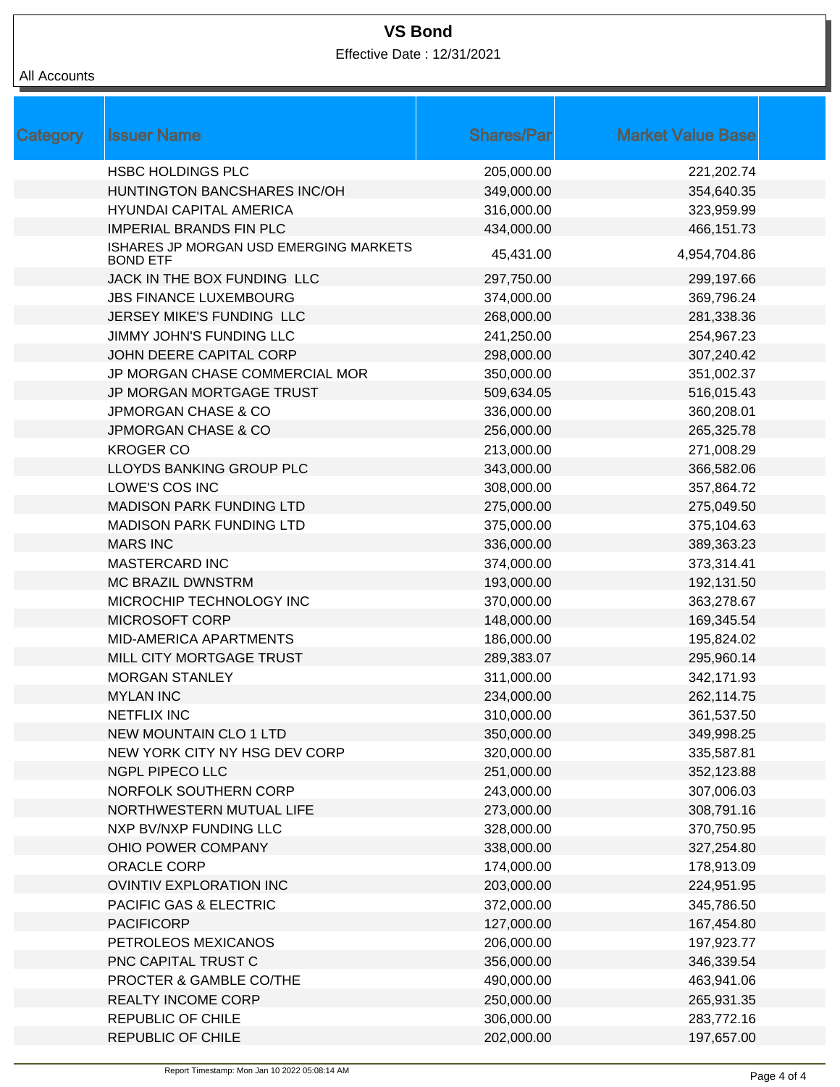Effective Date : 12/31/2021

| Category | <b>Issuer Name</b>                                        | <b>Shares/Par</b> | <b>Market Value Base</b> |  |
|----------|-----------------------------------------------------------|-------------------|--------------------------|--|
|          | <b>HSBC HOLDINGS PLC</b>                                  | 205,000.00        | 221,202.74               |  |
|          | HUNTINGTON BANCSHARES INC/OH                              | 349,000.00        | 354,640.35               |  |
|          | <b>HYUNDAI CAPITAL AMERICA</b>                            | 316,000.00        | 323,959.99               |  |
|          | <b>IMPERIAL BRANDS FIN PLC</b>                            | 434,000.00        | 466,151.73               |  |
|          | ISHARES JP MORGAN USD EMERGING MARKETS<br><b>BOND ETF</b> | 45,431.00         | 4,954,704.86             |  |
|          | JACK IN THE BOX FUNDING LLC                               | 297,750.00        | 299,197.66               |  |
|          | <b>JBS FINANCE LUXEMBOURG</b>                             | 374,000.00        | 369,796.24               |  |
|          | JERSEY MIKE'S FUNDING LLC                                 | 268,000.00        | 281,338.36               |  |
|          | JIMMY JOHN'S FUNDING LLC                                  | 241,250.00        | 254,967.23               |  |
|          | JOHN DEERE CAPITAL CORP                                   | 298,000.00        | 307,240.42               |  |
|          | JP MORGAN CHASE COMMERCIAL MOR                            | 350,000.00        | 351,002.37               |  |
|          | JP MORGAN MORTGAGE TRUST                                  | 509,634.05        | 516,015.43               |  |
|          | <b>JPMORGAN CHASE &amp; CO</b>                            | 336,000.00        | 360,208.01               |  |
|          | <b>JPMORGAN CHASE &amp; CO</b>                            | 256,000.00        | 265,325.78               |  |
|          | <b>KROGER CO</b>                                          | 213,000.00        | 271,008.29               |  |
|          | LLOYDS BANKING GROUP PLC                                  | 343,000.00        | 366,582.06               |  |
|          | LOWE'S COS INC                                            | 308,000.00        | 357,864.72               |  |
|          | <b>MADISON PARK FUNDING LTD</b>                           | 275,000.00        | 275,049.50               |  |
|          | <b>MADISON PARK FUNDING LTD</b>                           | 375,000.00        | 375,104.63               |  |
|          | <b>MARS INC</b>                                           | 336,000.00        | 389,363.23               |  |
|          | <b>MASTERCARD INC</b>                                     | 374,000.00        | 373,314.41               |  |
|          | <b>MC BRAZIL DWNSTRM</b>                                  | 193,000.00        | 192,131.50               |  |
|          | MICROCHIP TECHNOLOGY INC                                  | 370,000.00        | 363,278.67               |  |
|          | MICROSOFT CORP                                            | 148,000.00        | 169,345.54               |  |
|          | <b>MID-AMERICA APARTMENTS</b>                             | 186,000.00        | 195,824.02               |  |
|          | MILL CITY MORTGAGE TRUST                                  | 289,383.07        | 295,960.14               |  |
|          | <b>MORGAN STANLEY</b>                                     | 311,000.00        | 342,171.93               |  |
|          | <b>MYLAN INC</b>                                          | 234,000.00        | 262,114.75               |  |
|          | <b>NETFLIX INC</b>                                        | 310,000.00        | 361,537.50               |  |
|          | <b>NEW MOUNTAIN CLO 1 LTD</b>                             | 350,000.00        | 349,998.25               |  |
|          | NEW YORK CITY NY HSG DEV CORP                             | 320,000.00        | 335,587.81               |  |
|          | NGPL PIPECO LLC                                           | 251,000.00        | 352,123.88               |  |
|          | NORFOLK SOUTHERN CORP                                     | 243,000.00        | 307,006.03               |  |
|          | NORTHWESTERN MUTUAL LIFE                                  | 273,000.00        | 308,791.16               |  |
|          | NXP BV/NXP FUNDING LLC                                    | 328,000.00        | 370,750.95               |  |
|          | OHIO POWER COMPANY                                        | 338,000.00        | 327,254.80               |  |
|          | ORACLE CORP                                               | 174,000.00        | 178,913.09               |  |
|          | <b>OVINTIV EXPLORATION INC</b>                            | 203,000.00        | 224,951.95               |  |
|          | PACIFIC GAS & ELECTRIC                                    | 372,000.00        | 345,786.50               |  |
|          | <b>PACIFICORP</b>                                         | 127,000.00        | 167,454.80               |  |
|          | PETROLEOS MEXICANOS                                       | 206,000.00        | 197,923.77               |  |
|          | PNC CAPITAL TRUST C                                       | 356,000.00        | 346,339.54               |  |
|          | PROCTER & GAMBLE CO/THE                                   | 490,000.00        | 463,941.06               |  |
|          | REALTY INCOME CORP                                        | 250,000.00        | 265,931.35               |  |
|          | REPUBLIC OF CHILE                                         | 306,000.00        | 283,772.16               |  |
|          | REPUBLIC OF CHILE                                         | 202,000.00        | 197,657.00               |  |
|          |                                                           |                   |                          |  |